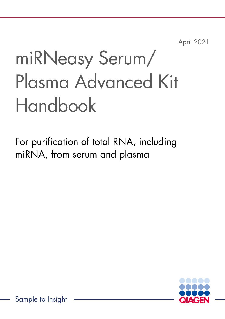April 2021

# miRNeasy Serum/ Plasma Advanced Kit Handbook

For purification of total RNA, including miRNA, from serum and plasma



Sample to Insight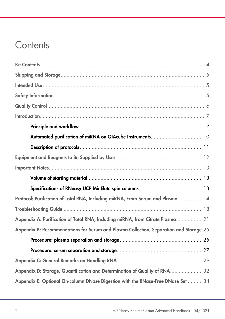### **Contents**

| Protocol: Purification of Total RNA, Including miRNA, From Serum and Plasma 14         |
|----------------------------------------------------------------------------------------|
|                                                                                        |
| Appendix A: Purification of Total RNA, Including miRNA, from Citrate Plasma 21         |
| Appendix B: Recommendations for Serum and Plasma Collection, Separation and Storage 25 |
|                                                                                        |
|                                                                                        |
|                                                                                        |
| Appendix D: Storage, Quantification and Determination of Quality of RNA 32             |
| Appendix E: Optional On-column DNase Digestion with the RNase-Free DNase Set  34       |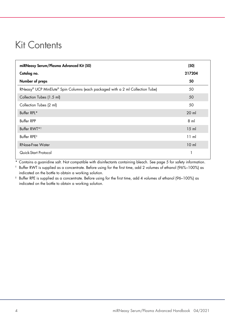### <span id="page-3-0"></span>Kit Contents

| miRNeasy Serum/Plasma Advanced Kit (50)                                        | (50)            |
|--------------------------------------------------------------------------------|-----------------|
| Catalog no.                                                                    | 217204          |
| Number of preps                                                                | 50              |
| RNeasy® UCP MinElute® Spin Columns (each packaged with a 2 ml Collection Tube) | 50              |
| Collection Tubes (1.5 ml)                                                      | 50              |
| Collection Tubes (2 ml)                                                        | 50              |
| Buffer RPL*                                                                    | $20$ m          |
| <b>Buffer RPP</b>                                                              | 8 <sub>m</sub>  |
| Buffer RWT*1                                                                   | $15$ m          |
| Buffer RPE <sup>#</sup>                                                        | 11 ml           |
| <b>RNase-Free Water</b>                                                        | 10 <sub>m</sub> |
| Quick-Start Protocol                                                           |                 |

\* Contains a guanidine salt. Not compatible with disinfectants containing bleach. See pag[e 5](#page-4-2) for safety information.

† Buffer RWT is supplied as a concentrate. Before using for the first time, add 2 volumes of ethanol (96%–100%) as indicated on the bottle to obtain a working solution.

‡ Buffer RPE is supplied as a concentrate. Before using for the first time, add 4 volumes of ethanol (96–100%) as indicated on the bottle to obtain a working solution.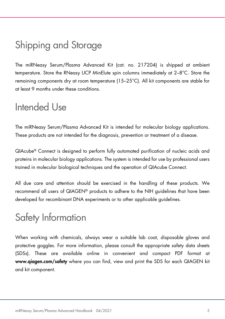### <span id="page-4-0"></span>Shipping and Storage

The miRNeasy Serum/Plasma Advanced Kit (cat. no. 217204) is shipped at ambient temperature. Store the RNeasy UCP MinElute spin columns immediately at 2–8°C. Store the remaining components dry at room temperature (15–25°C). All kit components are stable for at least 9 months under these conditions.

### <span id="page-4-1"></span>Intended Use

The miRNeasy Serum/Plasma Advanced Kit is intended for molecular biology applications. These products are not intended for the diagnosis, prevention or treatment of a disease.

QIAcube® Connect is designed to perform fully automated purification of nucleic acids and proteins in molecular biology applications. The system is intended for use by professional users trained in molecular biological techniques and the operation of QIAcube Connect.

All due care and attention should be exercised in the handling of these products. We recommend all users of QIAGEN® products to adhere to the NIH guidelines that have been developed for recombinant DNA experiments or to other applicable guidelines.

### <span id="page-4-2"></span>Safety Information

When working with chemicals, always wear a suitable lab coat, disposable gloves and protective goggles. For more information, please consult the appropriate safety data sheets (SDSs). These are available online in convenient and compact PDF format at [www.qiagen.com/safety](http://www.qiagen.com/safety) where you can find, view and print the SDS for each QIAGEN kit and kit component.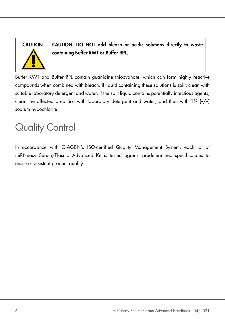

CAUTION CAUTION: DO NOT add bleach or acidic solutions directly to waste containing Buffer RWT or Buffer RPL.

Buffer RWT and Buffer RPL contain guanidine thiocyanate, which can form highly reactive compounds when combined with bleach. If liquid containing these solutions is spilt, clean with suitable laboratory detergent and water. If the spilt liquid contains potentially infectious agents, clean the affected area first with laboratory detergent and water, and then with 1% (v/v) sodium hypochlorite.

# <span id="page-5-0"></span>Quality Control

In accordance with QIAGEN's ISO-certified Quality Management System, each lot of miRNeasy Serum/Plasma Advanced Kit is tested against predetermined specifications to ensure consistent product quality.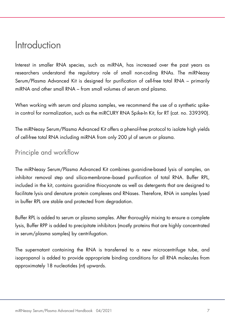### <span id="page-6-0"></span>Introduction

Interest in smaller RNA species, such as miRNA, has increased over the past years as researchers understand the regulatory role of small non-coding RNAs. The miRNeasy Serum/Plasma Advanced Kit is designed for purification of cell-free total RNA – primarily miRNA and other small RNA – from small volumes of serum and plasma.

When working with serum and plasma samples, we recommend the use of a synthetic spikein control for normalization, such as the miRCURY RNA Spike-In Kit, for RT (cat. no. 339390).

The miRNeasy Serum/Plasma Advanced Kit offers a phenol-free protocol to isolate high yields of cell-free total RNA including miRNA from only 200 µl of serum or plasma.

### <span id="page-6-1"></span>Principle and workflow

The miRNeasy Serum/Plasma Advanced Kit combines guanidine-based lysis of samples, an inhibitor removal step and silica-membrane–based purification of total RNA. Buffer RPL, included in the kit, contains guanidine thiocyanate as well as detergents that are designed to facilitate lysis and denature protein complexes and RNases. Therefore, RNA in samples lysed in buffer RPL are stable and protected from degradation.

Buffer RPL is added to serum or plasma samples. After thoroughly mixing to ensure a complete lysis, Buffer RPP is added to precipitate inhibitors (mostly proteins that are highly concentrated in serum/plasma samples) by centrifugation.

The supernatant containing the RNA is transferred to a new microcentrifuge tube, and isopropanol is added to provide appropriate binding conditions for all RNA molecules from approximately 18 nucleotides (nt) upwards.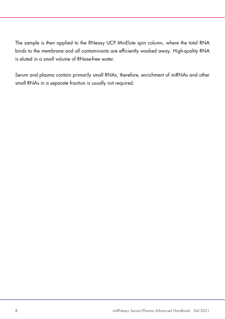The sample is then applied to the RNeasy UCP MinElute spin column, where the total RNA binds to the membrane and all contaminants are efficiently washed away. High-quality RNA is eluted in a small volume of RNase-free water.

Serum and plasma contain primarily small RNAs, therefore, enrichment of miRNAs and other small RNAs in a separate fraction is usually not required.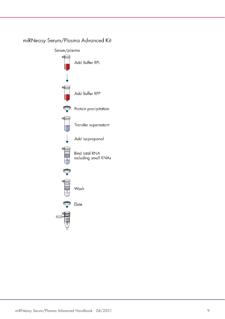

### miRNeasy Serum/Plasma Advanced Kit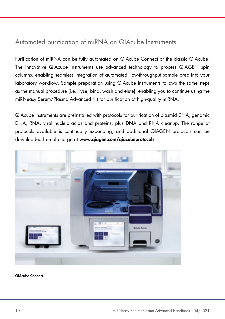### <span id="page-9-0"></span>Automated purification of miRNA on QIAcube Instruments

Purification of miRNA can be fully automated on QIAcube Connect or the classic QIAcube. The innovative QIAcube instruments use advanced technology to process QIAGEN spin columns, enabling seamless integration of automated, low-throughput sample prep into your laboratory workflow. Sample preparation using QIAcube instruments follows the same steps as the manual procedure (i.e., lyse, bind, wash and elute), enabling you to continue using the miRNeasy Serum/Plasma Advanced Kit for purification of high-quality miRNA.

QIAcube instruments are preinstalled with protocols for purification of plasmid DNA, genomic DNA, RNA, viral nucleic acids and proteins, plus DNA and RNA cleanup. The range of protocols available is continually expanding, and additional QIAGEN protocols can be downloaded free of charge at www.qiagen.com/qiacubeprotocols.



QIAcube Connect.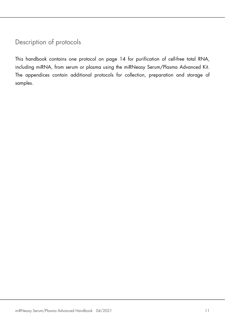### <span id="page-10-0"></span>Description of protocols

This handbook contains one protocol on page [14](#page-13-0) for purification of cell-free total RNA, including miRNA, from serum or plasma using the miRNeasy Serum/Plasma Advanced Kit. The appendices contain additional protocols for collection, preparation and storage of samples.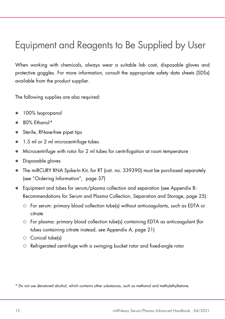## <span id="page-11-0"></span>Equipment and Reagents to Be Supplied by User

When working with chemicals, always wear a suitable lab coat, disposable gloves and protective goggles. For more information, consult the appropriate safety data sheets (SDSs) available from the product supplier.

The following supplies are also required:

- 100% Isopropanol
- 80% Ethanol[\\*](#page-11-1)
- Sterile, RNase-free pipet tips
- 1.5 ml or 2 ml microcentrifuge tubes
- Microcentrifuge with rotor for 2 ml tubes for centrifugation at room temperature
- Disposable gloves
- The miRCURY RNA Spike-In Kit, for RT (cat. no. 339390) must be purchased separately (see "Ordering Information", page [37\)](#page-36-0)
- Equipment and tubes for serum/plasma collection and separation (see [Appendix B:](#page-24-0)  [Recommendations for Serum and Plasma Collection, Separation and Storage,](#page-24-0) page [25\)](#page-24-0):
	- For serum: primary blood collection tube(s) without anticoagulants, such as EDTA or citrate
	- For plasma: primary blood collection tube(s) containing EDTA as anticoagulant (for tubes containing citrate instead, see Appendix A, page [21\)](#page-20-0)
	- $\circ$  Conical tube(s)
	- Refrigerated centrifuge with a swinging bucket rotor and fixed-angle rotor

<span id="page-11-1"></span>\* Do not use denatured alcohol, which contains other substances, such as methanol and methylethylketone.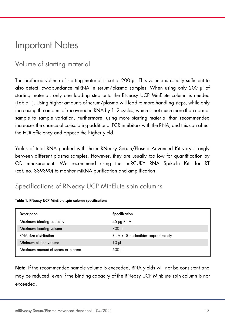### <span id="page-12-0"></span>Important Notes

### <span id="page-12-1"></span>Volume of starting material

The preferred volume of starting material is set to 200 µl. This volume is usually sufficient to also detect low-abundance miRNA in serum/plasma samples. When using only 200 µl of starting material, only one loading step onto the RNeasy UCP MinElute column is needed (Table 1). Using higher amounts of serum/plasma will lead to more handling steps, while only increasing the amount of recovered miRNA by 1–2 cycles, which is not much more than normal sample to sample variation. Furthermore, using more starting material than recommended increases the chance of co-isolating additional PCR inhibitors with the RNA, and this can affect the PCR efficiency and oppose the higher yield.

Yields of total RNA purified with the miRNeasy Serum/Plasma Advanced Kit vary strongly between different plasma samples. However, they are usually too low for quantification by OD measurement. We recommend using the miRCURY RNA Spike-In Kit, for RT (cat. no. 339390) to monitor miRNA purification and amplification.

### <span id="page-12-2"></span>Specifications of RNeasy UCP MinElute spin columns

| <b>Description</b>                | Specification                      |
|-----------------------------------|------------------------------------|
| Maximum binding capacity          | $45 \mu$ g RNA                     |
| Maximum loading volume            | 700 µl                             |
| RNA size distribution             | RNA > 18 nucleotides approximately |
| Minimum elution volume            | 10 <sub>µ</sub>                    |
| Maximum amount of serum or plasma | $600$ pl                           |

#### Table 1. RNeasy UCP MinElute spin column specifications

Note: If the recommended sample volume is exceeded, RNA yields will not be consistent and may be reduced, even if the binding capacity of the RNeasy UCP MinElute spin column is not exceeded.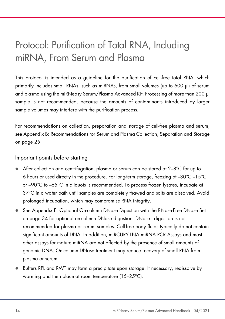## <span id="page-13-0"></span>Protocol: Purification of Total RNA, Including miRNA, From Serum and Plasma

This protocol is intended as a guideline for the purification of cell-free total RNA, which primarily includes small RNAs, such as miRNAs, from small volumes (up to 600 µl) of serum and plasma using the miRNeasy Serum/Plasma Advanced Kit. Processing of more than 200 µl sample is not recommended, because the amounts of contaminants introduced by larger sample volumes may interfere with the purification process.

For recommendations on collection, preparation and storage of cell-free plasma and serum, se[e Appendix B: Recommendations for Serum and Plasma Collection, Separation and Storage](#page-24-0) on page [25.](#page-24-0)

Important points before starting

- After collection and centrifugation, plasma or serum can be stored at 2–8°C for up to 6 hours or used directly in the procedure. For long-term storage, freezing at –30°C –15°C or –90°C to –65°C in aliquots is recommended. To process frozen lysates, incubate at 37°C in a water bath until samples are completely thawed and salts are dissolved. Avoid prolonged incubation, which may compromise RNA integrity.
- See [Appendix E: Optional On-column DNase Digestion with the RNase-Free DNase Set](#page-33-0) on page [34](#page-33-0) for optional on-column DNase digestion. DNase I digestion is not recommended for plasma or serum samples. Cell-free body fluids typically do not contain significant amounts of DNA. In addition, miRCURY LNA miRNA PCR Assays and most other assays for mature miRNA are not affected by the presence of small amounts of genomic DNA. On-column DNase treatment may reduce recovery of small RNA from plasma or serum.
- Buffers RPL and RWT may form a precipitate upon storage. If necessary, redissolve by warming and then place at room temperature (15–25°C).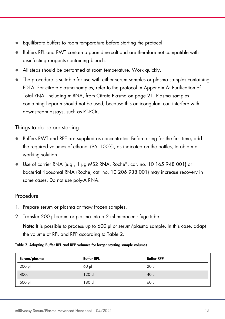- Equilibrate buffers to room temperature before starting the protocol.
- Buffers RPL and RWT contain a guanidine salt and are therefore not compatible with disinfecting reagents containing bleach.
- All steps should be performed at room temperature. Work quickly.
- The procedure is suitable for use with either serum samples or plasma samples containing EDTA. For citrate plasma samples, refer to the protocol in [Appendix A: Purification of](#page-20-0)  [Total RNA, Including miRNA, from Citrate Plasma](#page-20-0) on pag[e 21.](#page-20-0) Plasma samples containing heparin should not be used, because this anticoagulant can interfere with downstream assays, such as RT-PCR.

### Things to do before starting

- Buffers RWT and RPE are supplied as concentrates. Before using for the first time, add the required volumes of ethanol (96–100%), as indicated on the bottles, to obtain a working solution.
- Use of carrier RNA (e.g., 1 µg MS2 RNA, Roche®, cat. no. 10 165 948 001) or bacterial ribosomal RNA (Roche, cat. no. 10 206 938 001) may increase recovery in some cases. Do not use poly-A RNA.

### Procedure

- <span id="page-14-1"></span>1. Prepare serum or plasma or thaw frozen samples.
- 2. Transfer 200 ul serum or plasma into a 2 ml microcentrifuge tube.

Note: It is possible to process up to 600 µl of serum/plasma sample. In this case, adapt the volume of RPL and RPP according to [Table 2.](#page-14-0)

#### <span id="page-14-0"></span>Table 2. Adapting Buffer RPL and RPP volumes for larger starting sample volumes

| Serum/plasma      | <b>Buffer RPL</b> | <b>Buffer RPP</b> |
|-------------------|-------------------|-------------------|
| $200$ $\mu$       | $60$ pl           | 20 <sub>µ</sub>   |
| 400 <sub>pl</sub> | $120$ pl          | $40$ $\mu$        |
| $600$ $\mu$       | 180 µl            | $60$ pl           |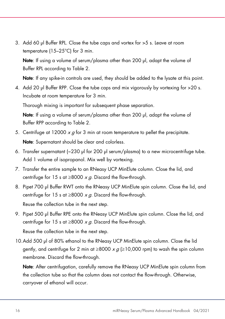3. Add 60 µl Buffer RPL. Close the tube caps and vortex for >5 s. Leave at room temperature (15–25°C) for 3 min.

Note: If using a volume of serum/plasma other than 200 µl, adapt the volume of Buffer RPL according to [Table 2.](#page-14-0)

Note: If any spike-in controls are used, they should be added to the lysate at this point.

4. Add 20 µl Buffer RPP. Close the tube caps and mix vigorously by vortexing for >20 s. Incubate at room temperature for 3 min.

Thorough mixing is important for subsequent phase separation.

Note: If using a volume of serum/plasma other than 200 ul, adapt the volume of Buffer RPP according to [Table 2.](#page-14-0)

- <span id="page-15-0"></span>5. Centrifuge at 12000  $x q$  for 3 min at room temperature to pellet the precipitate. Note: Supernatant should be clear and colorless.
- 6. Transfer supernatant (~230 µl for 200 µl serum/plasma) to a new microcentrifuge tube. Add 1 volume of isopropanol. Mix well by vortexing.
- <span id="page-15-1"></span>7. Transfer the entire sample to an RNeasy UCP MinElute column. Close the lid, and centrifuge for 15 s at  $\geq 8000 \times a$ . Discard the flow-through.
- <span id="page-15-2"></span>8. Pipet 700 µl Buffer RWT onto the RNeasy UCP MinElute spin column. Close the lid, and centrifuge for 15 s at  $\geq$ 8000 x g. Discard the flow-through.

Reuse the collection tube in the next step.

9. Pipet 500 µl Buffer RPE onto the RNeasy UCP MinElute spin column. Close the lid, and centrifuge for 15 s at  $\geq$ 8000 x g. Discard the flow-through.

Reuse the collection tube in the next step.

10.Add 500 µl of 80% ethanol to the RNeasy UCP MinElute spin column. Close the lid gently, and centrifuge for 2 min at  $\geq$ 8000 x g ( $\geq$ 10,000 rpm) to wash the spin column membrane. Discard the flow-through.

Note: After centrifugation, carefully remove the RNeasy UCP MinElute spin column from the collection tube so that the column does not contact the flow-through. Otherwise, carryover of ethanol will occur.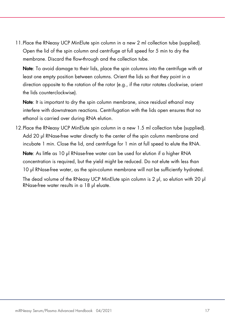<span id="page-16-0"></span>11.Place the RNeasy UCP MinElute spin column in a new 2 ml collection tube (supplied). Open the lid of the spin column and centrifuge at full speed for 5 min to dry the membrane. Discard the flow-through and the collection tube.

Note: To avoid damage to their lids, place the spin columns into the centrifuge with at least one empty position between columns. Orient the lids so that they point in a direction opposite to the rotation of the rotor (e.g., if the rotor rotates clockwise, orient the lids counterclockwise).

Note: It is important to dry the spin column membrane, since residual ethanol may interfere with downstream reactions. Centrifugation with the lids open ensures that no ethanol is carried over during RNA elution.

12.Place the RNeasy UCP MinElute spin column in a new 1.5 ml collection tube (supplied). Add 20 µl RNase-free water directly to the center of the spin column membrane and incubate 1 min. Close the lid, and centrifuge for 1 min at full speed to elute the RNA.

Note: As little as 10 µl RNase-free water can be used for elution if a higher RNA concentration is required, but the yield might be reduced. Do not elute with less than 10 µl RNase-free water, as the spin-column membrane will not be sufficiently hydrated.

The dead volume of the RNeasy UCP MinElute spin column is 2 µl, so elution with 20 µl RNase-free water results in a 18 µl eluate.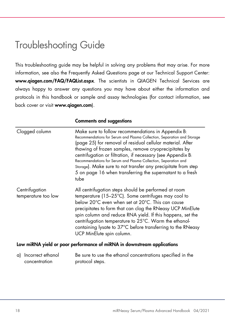### <span id="page-17-0"></span>Troubleshooting Guide

This troubleshooting guide may be helpful in solving any problems that may arise. For more information, see also the Frequently Asked Questions page at our Technical Support Center: [www.qiagen.com/FAQ/FAQList.aspx](http://www.qiagen.com/FAQ/FAQList.aspx). The scientists in QIAGEN Technical Services are always happy to answer any questions you may have about either the information and protocols in this handbook or sample and assay technologies (for contact information, see back cover or visit [www.qiagen.com](http://www.qiagen.com/)).

|                                       | <b>Comments and suggestions</b>                                                                                                                                                                                                                                                                                                                                                                                                                                                                                              |
|---------------------------------------|------------------------------------------------------------------------------------------------------------------------------------------------------------------------------------------------------------------------------------------------------------------------------------------------------------------------------------------------------------------------------------------------------------------------------------------------------------------------------------------------------------------------------|
| Clogged column                        | Make sure to follow recommendations in Appendix B:<br>Recommendations for Serum and Plasma Collection, Separation and Storage<br>(page 25) for removal of residual cellular material. After<br>thawing of frozen samples, remove cryoprecipitates by<br>centrifugation or filtration, if necessary (see Appendix B:<br>Recommendations for Serum and Plasma Collection, Separation and<br>Storage). Make sure to not transfer any precipitate from step<br>5 on page 16 when transferring the supernatant to a fresh<br>tube |
| Centrifugation<br>temperature too low | All centrifugation steps should be performed at room<br>temperature (15-25°C). Some centrifuges may cool to<br>below 20°C even when set at 20°C. This can cause<br>precipitates to form that can clog the RNeasy UCP MinElute<br>spin column and reduce RNA yield. If this happens, set the<br>centrifugation temperature to 25°C. Warm the ethanol-<br>containing lysate to 37°C before transferring to the RNeasy<br>UCP MinElute spin column.                                                                             |
|                                       | Low miRNA vield or poor performance of miRNA in downstream applications                                                                                                                                                                                                                                                                                                                                                                                                                                                      |

#### errormance or

| a) Incorrect ethanol | Be sure to use the ethanol concentrations specified in the |
|----------------------|------------------------------------------------------------|
| concentration        | protocol steps.                                            |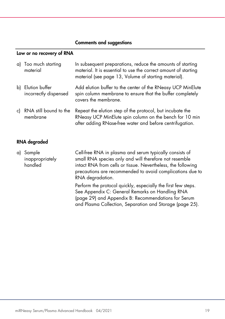#### Comments and suggestions

#### Low or no recovery of RNA

| a) Too much starting<br>material           | In subsequent preparations, reduce the amounts of starting<br>material. It is essential to use the correct amount of starting<br>material (see page 13, Volume of starting material). |
|--------------------------------------------|---------------------------------------------------------------------------------------------------------------------------------------------------------------------------------------|
| b) Elution buffer<br>incorrectly dispensed | Add elution buffer to the center of the RNeasy UCP MinElute<br>spin column membrane to ensure that the buffer completely<br>covers the membrane.                                      |
| c) RNA still bound to the<br>membrane      | Repeat the elution step of the protocol, but incubate the<br>RNeasy UCP MinElute spin column on the bench for 10 min<br>after adding RNase-free water and before centrifugation.      |

#### RNA degraded

| a) Sample       | Cell-free RNA in plasma and serum typically consists of         |
|-----------------|-----------------------------------------------------------------|
| inappropriately | small RNA species only and will therefore not resemble          |
| handled         | intact RNA from cells or tissue. Nevertheless, the following    |
|                 | precautions are recommended to avoid complications due to       |
|                 | RNA degradation.                                                |
|                 | Daulaum den wurdenet mittelite innen stalle den findeline deuer |

Perform the protocol quickly, especially the first few steps. See [Appendix C: General Remarks on Handling RNA](#page-28-0) (page [29\)](#page-28-0) and [Appendix B: Recommendations for Serum](#page-24-0)  [and Plasma Collection, Separation and Storage](#page-24-0) (page [25\)](#page-24-0).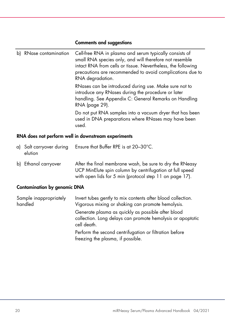### Comments and suggestions

| b) | RNase contamination                                 | Cell-free RNA in plasma and serum typically consists of<br>small RNA species only, and will therefore not resemble<br>intact RNA from cells or tissue. Nevertheless, the following<br>precautions are recommended to avoid complications due to<br>RNA degradation. |  |
|----|-----------------------------------------------------|---------------------------------------------------------------------------------------------------------------------------------------------------------------------------------------------------------------------------------------------------------------------|--|
|    |                                                     | RNases can be introduced during use. Make sure not to<br>introduce any RNases during the procedure or later<br>handling. See Appendix C: General Remarks on Handling<br>RNA (page 29).                                                                              |  |
|    |                                                     | Do not put RNA samples into a vacuum dryer that has been<br>used in DNA preparations where RNases may have been<br>used.                                                                                                                                            |  |
|    | RNA does not perform well in downstream experiments |                                                                                                                                                                                                                                                                     |  |

| a) Salt carryover during<br>elution | Ensure that Buffer RPE is at $20-30^{\circ}$ C.                                                                                                                                 |
|-------------------------------------|---------------------------------------------------------------------------------------------------------------------------------------------------------------------------------|
| b) Ethanol carryover                | After the final membrane wash, be sure to dry the RNeasy<br>UCP MinElute spin column by centrifugation at full speed<br>with open lids for 5 min (protocol step 11 on page 17). |

### Contamination by genomic DNA

| Sample inappropriately<br>handled | Invert tubes gently to mix contents after blood collection.<br>Vigorous mixing or shaking can promote hemolysis.                |
|-----------------------------------|---------------------------------------------------------------------------------------------------------------------------------|
|                                   | Generate plasma as quickly as possible after blood<br>collection. Long delays can promote hemolysis or apoptotic<br>cell death. |
|                                   | Perform the second centrifugation or filtration before<br>freezing the plasma, if possible.                                     |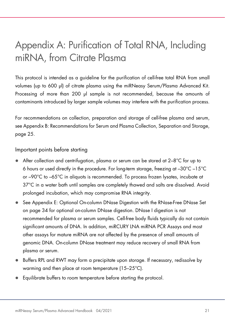## <span id="page-20-0"></span>Appendix A: Purification of Total RNA, Including miRNA, from Citrate Plasma

This protocol is intended as a guideline for the purification of cell-free total RNA from small volumes (up to 600 µl) of citrate plasma using the miRNeasy Serum/Plasma Advanced Kit. Processing of more than 200 µl sample is not recommended, because the amounts of contaminants introduced by larger sample volumes may interfere with the purification process.

For recommendations on collection, preparation and storage of cell-free plasma and serum, se[e Appendix B: Recommendations for Serum and Plasma Collection, Separation and Storage,](#page-24-0) page [25.](#page-24-0)

#### Important points before starting

- After collection and centrifugation, plasma or serum can be stored at 2–8°C for up to 6 hours or used directly in the procedure. For long-term storage, freezing at –30°C –15°C or –90°C to –65°C in aliquots is recommended. To process frozen lysates, incubate at 37°C in a water bath until samples are completely thawed and salts are dissolved. Avoid prolonged incubation, which may compromise RNA integrity.
- See [Appendix E: Optional On-column DNase Digestion with the RNase-Free DNase Set](#page-33-0) on page [34](#page-33-0) for optional on-column DNase digestion. DNase I digestion is not recommended for plasma or serum samples. Cell-free body fluids typically do not contain significant amounts of DNA. In addition, miRCURY LNA miRNA PCR Assays and most other assays for mature miRNA are not affected by the presence of small amounts of genomic DNA. On-column DNase treatment may reduce recovery of small RNA from plasma or serum.
- Buffers RPL and RWT may form a precipitate upon storage. If necessary, redissolve by warming and then place at room temperature (15–25°C).
- Equilibrate buffers to room temperature before starting the protocol.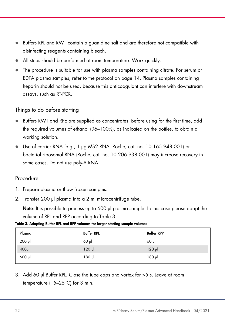- Buffers RPL and RWT contain a guanidine salt and are therefore not compatible with disinfecting reagents containing bleach.
- All steps should be performed at room temperature. Work quickly.
- The procedure is suitable for use with plasma samples containing citrate. For serum or EDTA plasma samples, refer to the protocol on page [14.](#page-13-0) Plasma samples containing heparin should not be used, because this anticoagulant can interfere with downstream assays, such as RT-PCR.

#### Things to do before starting

- Buffers RWT and RPE are supplied as concentrates. Before using for the first time, add the required volumes of ethanol (96–100%), as indicated on the bottles, to obtain a working solution.
- Use of carrier RNA (e.g., 1 µg MS2 RNA, Roche, cat. no. 10 165 948 001) or bacterial ribosomal RNA (Roche, cat. no. 10 206 938 001) may increase recovery in some cases. Do not use poly-A RNA.

#### Procedure

- <span id="page-21-1"></span>1. Prepare plasma or thaw frozen samples.
- 2. Transfer 200 µl plasma into a 2 ml microcentrifuge tube.

Note: It is possible to process up to 600 µl plasma sample. In this case please adapt the volume of RPL and RPP according to [Table 3.](#page-21-0)

| Plasma      | <b>Buffer RPL</b> | <b>Buffer RPP</b> |
|-------------|-------------------|-------------------|
| $200$ $\mu$ | $60$ $\mu$        | $60$ pl           |
| $400$ µ     | $120$ pl          | $120$ pl          |
| 600 µl      | 180 µl            | $180$ pl          |

<span id="page-21-0"></span>Table 3. Adapting Buffer RPL and RPP volumes for larger starting sample volumes

3. Add 60 µl Buffer RPL. Close the tube caps and vortex for >5 s. Leave at room temperature (15–25°C) for 3 min.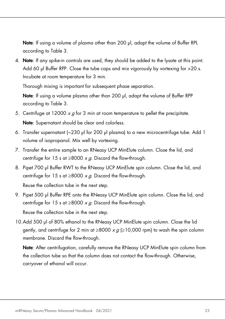Note: If using a volume of plasma other than 200 µl, adapt the volume of Buffer RPL according to [Table 3.](#page-21-0)

4. Note: If any spike-in controls are used, they should be added to the lysate at this point. Add 60 µl Buffer RPP. Close the tube caps and mix vigorously by vortexing for >20 s. Incubate at room temperature for 3 min.

Thorough mixing is important for subsequent phase separation.

Note: If using a volume plasma other than 200 ul, adapt the volume of Buffer RPP according to [Table 3.](#page-21-0)

- 5. Centrifuge at 12000  $x \alpha$  for 3 min at room temperature to pellet the precipitate. Note: Supernatant should be clear and colorless.
- 6. Transfer supernatant (~230 µl for 200 µl plasma) to a new microcentrifuge tube. Add 1 volume of isopropanol. Mix well by vortexing.
- 7. Transfer the entire sample to an RNeasy UCP MinElute column. Close the lid, and centrifuge for 15 s at  $\geq$ 8000 x g. Discard the flow-through.
- <span id="page-22-0"></span>8. Pipet 700 µl Buffer RWT to the RNeasy UCP MinElute spin column. Close the lid, and centrifuge for 15 s at  $\geq$ 8000 x g. Discard the flow-through.

Reuse the collection tube in the next step.

9. Pipet 500 µl Buffer RPE onto the RNeasy UCP MinElute spin column. Close the lid, and centrifuge for 15 s at  $\geq$ 8000 x q. Discard the flow-through.

Reuse the collection tube in the next step.

10.Add 500 µl of 80% ethanol to the RNeasy UCP MinElute spin column. Close the lid gently, and centrifuge for 2 min at  $\geq$ 8000 x g ( $\geq$ 10,000 rpm) to wash the spin column membrane. Discard the flow-through.

Note: After centrifugation, carefully remove the RNeasy UCP MinElute spin column from the collection tube so that the column does not contact the flow-through. Otherwise, carryover of ethanol will occur.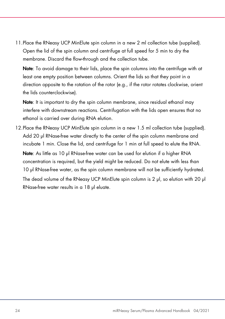11.Place the RNeasy UCP MinElute spin column in a new 2 ml collection tube (supplied). Open the lid of the spin column and centrifuge at full speed for 5 min to dry the membrane. Discard the flow-through and the collection tube.

Note: To avoid damage to their lids, place the spin columns into the centrifuge with at least one empty position between columns. Orient the lids so that they point in a direction opposite to the rotation of the rotor (e.g., if the rotor rotates clockwise, orient the lids counterclockwise).

Note: It is important to dry the spin column membrane, since residual ethanol may interfere with downstream reactions. Centrifugation with the lids open ensures that no ethanol is carried over during RNA elution.

12.Place the RNeasy UCP MinElute spin column in a new 1.5 ml collection tube (supplied). Add 20 µl RNase-free water directly to the center of the spin column membrane and incubate 1 min. Close the lid, and centrifuge for 1 min at full speed to elute the RNA.

Note: As little as 10 µl RNase-free water can be used for elution if a higher RNA concentration is required, but the yield might be reduced. Do not elute with less than 10 µl RNase-free water, as the spin column membrane will not be sufficiently hydrated.

The dead volume of the RNeasy UCP MinElute spin column is 2 µl, so elution with 20 µl RNase-free water results in a 18 µl eluate.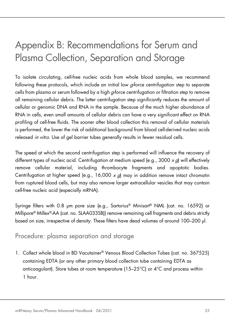# <span id="page-24-0"></span>Appendix B: Recommendations for Serum and Plasma Collection, Separation and Storage

To isolate circulating, cell-free nucleic acids from whole blood samples, we recommend following these protocols, which include an initial low  $\sigma$  force centrifugation step to separate cells from plasma or serum followed by a high  $q$ -force centrifugation or filtration step to remove all remaining cellular debris. The latter centrifugation step significantly reduces the amount of cellular or genomic DNA and RNA in the sample. Because of the much higher abundance of RNA in cells, even small amounts of cellular debris can have a very significant effect on RNA profiling of cell-free fluids. The sooner after blood collection this removal of cellular materials is performed, the lower the risk of additional background from blood cell-derived nucleic acids released in vitro. Use of gel barrier tubes generally results in fewer residual cells.

The speed at which the second centrifugation step is performed will influence the recovery of different types of nucleic acid. Centrifugation at medium speed (e.g., 3000  $x$  g) will effectively remove cellular material, including thrombocyte fragments and apoptotic bodies. Centrifugation at higher speed (e.g., 16,000  $x$  d) may in addition remove intact chromatin from ruptured blood cells, but may also remove larger extracellular vesicles that may contain cell-free nucleic acid (especially mRNA).

Syringe filters with 0.8 µm pore size (e.g., Sartorius® Minisart® NML (cat. no. 16592) or Millipore® Millex®-AA (cat. no. SLAA033SB)) remove remaining cell fragments and debris strictly based on size, irrespective of density. These filters have dead volumes of around 100–200 µl.

### <span id="page-24-1"></span>Procedure: plasma separation and storage

1. Collect whole blood in BD Vacutainer® Venous Blood Collection Tubes (cat. no. 367525) containing EDTA (or any other primary blood collection tube containing EDTA as anticoagulant). Store tubes at room temperature (15–25°C) or 4°C and process within 1 hour.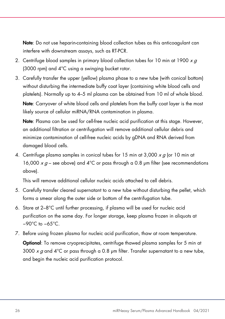Note: Do not use heparin-containing blood collection tubes as this anticoagulant can interfere with downstream assays, such as RT-PCR.

- 2. Centrifuge blood samples in primary blood collection tubes for 10 min at 1900  $xq$ (3000 rpm) and 4°C using a swinging bucket rotor.
- 3. Carefully transfer the upper (yellow) plasma phase to a new tube (with conical bottom) without disturbing the intermediate buffy coat layer (containing white blood cells and platelets). Normally up to 4–5 ml plasma can be obtained from 10 ml of whole blood. Note: Carryover of white blood cells and platelets from the buffy coat layer is the most

likely source of cellular miRNA/RNA contamination in plasma.

Note: Plasma can be used for cell-free nucleic acid purification at this stage. However, an additional filtration or centrifugation will remove additional cellular debris and minimize contamination of cell-free nucleic acids by gDNA and RNA derived from damaged blood cells.

4. Centrifuge plasma samples in conical tubes for 15 min at 3,000  $xq$  (or 10 min at 16,000  $\times a$  – see above) and 4°C or pass through a 0.8 µm filter (see recommendations above).

This will remove additional cellular nucleic acids attached to cell debris.

- 5. Carefully transfer cleared supernatant to a new tube without disturbing the pellet, which forms a smear along the outer side or bottom of the centrifugation tube.
- 6. Store at 2–8°C until further processing, if plasma will be used for nucleic acid purification on the same day. For longer storage, keep plasma frozen in aliquots at −90°C to −65°C.
- 7. Before using frozen plasma for nucleic acid purification, thaw at room temperature. Optional: To remove cryoprecipitates, centrifuge thawed plasma samples for 5 min at 3000 x g and 4<sup>o</sup>C or pass through a 0.8 µm filter. Transfer supernatant to a new tube, and begin the nucleic acid purification protocol.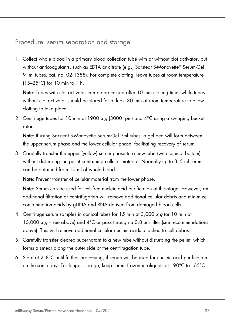### <span id="page-26-0"></span>Procedure: serum separation and storage

1. Collect whole blood in a primary blood collection tube with or without clot activator, but without anticoagulants, such as EDTA or citrate (e.g., Sarstedt S-Monovette® Serum-Gel 9 ml tubes, cat. no. 02.1388). For complete clotting, leave tubes at room temperature (15–25°C) for 10 min to 1 h.

Note: Tubes with clot activator can be processed after 10 min clotting time, while tubes without clot activator should be stored for at least 30 min at room temperature to allow clotting to take place.

2. Centrifuge tubes for 10 min at 1900  $x g$  (3000 rpm) and 4°C using a swinging bucket rotor.

Note: If using Sarstedt S-Monovette Serum-Gel 9ml tubes, a gel bed will form between the upper serum phase and the lower cellular phase, facilitating recovery of serum.

3. Carefully transfer the upper (yellow) serum phase to a new tube (with conical bottom) without disturbing the pellet containing cellular material. Normally up to 3–5 ml serum can be obtained from 10 ml of whole blood.

Note: Prevent transfer of cellular material from the lower phase.

Note: Serum can be used for cell-free nucleic acid purification at this stage. However, an additional filtration or centrifugation will remove additional cellular debris and minimize contamination acids by gDNA and RNA derived from damaged blood cells.

- 4. Centrifuge serum samples in conical tubes for 15 min at 3,000 x g (or 10 min at 16,000  $\times$  g – see above) and 4°C or pass through a 0.8 µm filter (see recommendations above). This will remove additional cellular nucleic acids attached to cell debris.
- 5. Carefully transfer cleared supernatant to a new tube without disturbing the pellet, which forms a smear along the outer side of the centrifugation tube.
- 6. Store at 2–8°C until further processing, if serum will be used for nucleic acid purification on the same day. For longer storage, keep serum frozen in aliquots at −90°C to –65°C.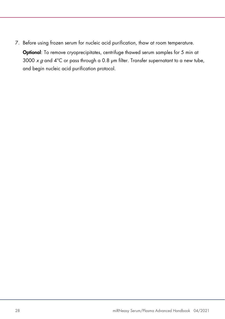7. Before using frozen serum for nucleic acid purification, thaw at room temperature. Optional: To remove cryoprecipitates, centrifuge thawed serum samples for 5 min at 3000  $\times g$  and 4°C or pass through a 0.8 µm filter. Transfer supernatant to a new tube, and begin nucleic acid purification protocol.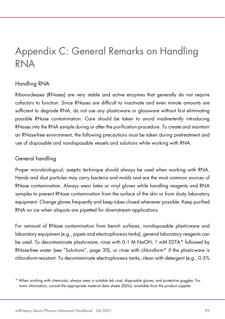### <span id="page-28-0"></span>Appendix C: General Remarks on Handling RNA

### Handling RNA

Ribonucleases (RNases) are very stable and active enzymes that generally do not require cofactors to function. Since RNases are difficult to inactivate and even minute amounts are sufficient to degrade RNA, do not use any plasticware or glassware without first eliminating possible RNase contamination. Care should be taken to avoid inadvertently introducing RNases into the RNA sample during or after the purification procedure. To create and maintain an RNase-free environment, the following precautions must be taken during pretreatment and use of disposable and nondisposable vessels and solutions while working with RNA.

### General handling

Proper microbiological, aseptic technique should always be used when working with RNA. Hands and dust particles may carry bacteria and molds and are the most common sources of RNase contamination. Always wear latex or vinyl gloves while handling reagents and RNA samples to prevent RNase contamination from the surface of the skin or from dusty laboratory equipment. Change gloves frequently and keep tubes closed whenever possible. Keep purified RNA on ice when aliquots are pipetted for downstream applications.

For removal of RNase contamination from bench surfaces, nondisposable plasticware and laboratory equipment (e.g., pipets and electrophoresis tanks), general laboratory reagents can be used. To decontaminate plasticware, rinse with 0.1 M NaOH, 1 mM EDTA[\\*](#page-28-1) followed by RNase-free water (see ["Solutions"](#page-29-0), page [30\),](#page-29-0) or rinse with chloroform\* if the plasticware is chloroform-resistant. To decontaminate electrophoresis tanks, clean with detergent (e.g., 0.5%

<span id="page-28-1"></span><sup>\*</sup> When working with chemicals, always wear a suitable lab coat, disposable gloves, and protective goggles. For more information, consult the appropriate material data sheets (SDSs), available from the product supplier.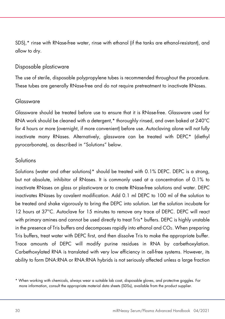SDS),\* rinse with RNase-free water, rinse with ethanol (if the tanks are ethanol-resistant), and allow to dry.

#### Disposable plasticware

The use of sterile, disposable polypropylene tubes is recommended throughout the procedure. These tubes are generally RNase-free and do not require pretreatment to inactivate RNases.

#### Glassware

Glassware should be treated before use to ensure that it is RNase-free. Glassware used for RNA work should be cleaned with a detergent,\* thoroughly rinsed, and oven baked at 240°C for 4 hours or more (overnight, if more convenient) before use. Autoclaving alone will not fully inactivate many RNases. Alternatively, glassware can be treated with DEPC\* (diethyl pyrocarbonate), as described in ["Solutions"](#page-29-0) below.

### <span id="page-29-0"></span>**Solutions**

Solutions (water and other solutions)[\\*](#page-29-1) should be treated with 0.1% DEPC. DEPC is a strong, but not absolute, inhibitor of RNases. It is commonly used at a concentration of 0.1% to inactivate RNases on glass or plasticware or to create RNase-free solutions and water. DEPC inactivates RNases by covalent modification. Add 0.1 ml DEPC to 100 ml of the solution to be treated and shake vigorously to bring the DEPC into solution. Let the solution incubate for 12 hours at 37°C. Autoclave for 15 minutes to remove any trace of DEPC. DEPC will react with primary amines and cannot be used directly to treat Tris\* buffers. DEPC is highly unstable in the presence of Tris buffers and decomposes rapidly into ethanol and  $CO<sub>2</sub>$ . When preparing Tris buffers, treat water with DEPC first, and then dissolve Tris to make the appropriate buffer. Trace amounts of DEPC will modify purine residues in RNA by carbethoxylation. Carbethoxylated RNA is translated with very low efficiency in cell-free systems. However, its ability to form DNA:RNA or RNA:RNA hybrids is not seriously affected unless a large fraction

<span id="page-29-1"></span><sup>\*</sup> When working with chemicals, always wear a suitable lab coat, disposable gloves, and protective goggles. For more information, consult the appropriate material data sheets (SDSs), available from the product supplier.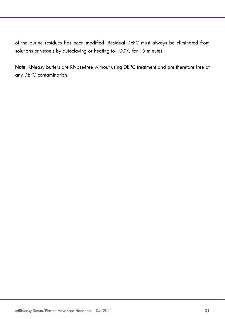of the purine residues has been modified. Residual DEPC must always be eliminated from solutions or vessels by autoclaving or heating to 100°C for 15 minutes.

Note: RNeasy buffers are RNase-free without using DEPC treatment and are therefore free of any DEPC contamination.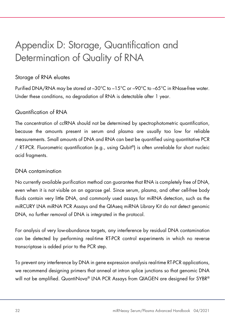# <span id="page-31-0"></span>Appendix D: Storage, Quantification and Determination of Quality of RNA

### Storage of RNA eluates

Purified DNA/RNA may be stored at –30°C to –15°C or –90°C to –65°C in RNase-free water. Under these conditions, no degradation of RNA is detectable after 1 year.

### Quantification of RNA

The concentration of ccfRNA should not be determined by spectrophotometric quantification, because the amounts present in serum and plasma are usually too low for reliable measurements. Small amounts of DNA and RNA can best be quantified using quantitative PCR / RT-PCR. Fluorometric quantification (e.g., using Qubit®) is often unreliable for short nucleic acid fragments.

### DNA contamination

No currently available purification method can guarantee that RNA is completely free of DNA, even when it is not visible on an agarose gel. Since serum, plasma, and other cell-free body fluids contain very little DNA, and commonly used assays for miRNA detection, such as the miRCURY LNA miRNA PCR Assays and the QIAseq miRNA Library Kit do not detect genomic DNA, no further removal of DNA is integrated in the protocol.

For analysis of very low-abundance targets, any interference by residual DNA contamination can be detected by performing real-time RT-PCR control experiments in which no reverse transcriptase is added prior to the PCR step.

To prevent any interference by DNA in gene expression analysis real-time RT-PCR applications, we recommend designing primers that anneal at intron splice junctions so that genomic DNA will not be amplified. QuantiNova® LNA PCR Assays from QIAGEN are designed for SYBR®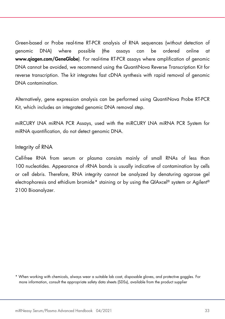Green-based or Probe real-time RT-PCR analysis of RNA sequences (without detection of genomic DNA) where possible (the assays can be ordered online at [www.qiagen.com/GeneGlobe](http://www.qiagen.com/GeneGlobe)). For real-time RT-PCR assays where amplification of genomic DNA cannot be avoided, we recommend using the QuantiNova Reverse Transcription Kit for reverse transcription. The kit integrates fast cDNA synthesis with rapid removal of genomic DNA contamination.

Alternatively, gene expression analysis can be performed using QuantiNova Probe RT-PCR Kit, which includes an integrated genomic DNA removal step.

miRCURY LNA miRNA PCR Assays, used with the miRCURY LNA miRNA PCR System for miRNA quantification, do not detect genomic DNA.

#### Integrity of RNA

Cell-free RNA from serum or plasma consists mainly of small RNAs of less than 100 nucleotides. Appearance of rRNA bands is usually indicative of contamination by cells or cell debris. Therefore, RNA integrity cannot be analyzed by denaturing agarose gel electrophoresis and ethidium bromide[\\*](#page-32-0) staining or by using the QIAxcel® system or Agilent® 2100 Bioanalyzer.

<span id="page-32-0"></span><sup>\*</sup> When working with chemicals, always wear a suitable lab coat, disposable gloves, and protective goggles. For more information, consult the appropriate safety data sheets (SDSs), available from the product supplier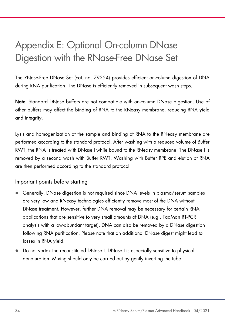## <span id="page-33-0"></span>Appendix E: Optional On-column DNase Digestion with the RNase-Free DNase Set

The RNase-Free DNase Set (cat. no. 79254) provides efficient on-column digestion of DNA during RNA purification. The DNase is efficiently removed in subsequent wash steps.

Note: Standard DNase buffers are not compatible with on-column DNase digestion. Use of other buffers may affect the binding of RNA to the RNeasy membrane, reducing RNA yield and integrity.

Lysis and homogenization of the sample and binding of RNA to the RNeasy membrane are performed according to the standard protocol. After washing with a reduced volume of Buffer RWT, the RNA is treated with DNase I while bound to the RNeasy membrane. The DNase I is removed by a second wash with Buffer RWT. Washing with Buffer RPE and elution of RNA are then performed according to the standard protocol.

Important points before starting

- Generally, DNase digestion is not required since DNA levels in plasma/serum samples are very low and RNeasy technologies efficiently remove most of the DNA without DNase treatment. However, further DNA removal may be necessary for certain RNA applications that are sensitive to very small amounts of DNA (e.g., TaqMan RT-PCR analysis with a low-abundant target). DNA can also be removed by a DNase digestion following RNA purification. Please note that an additional DNase digest might lead to losses in RNA yield.
- Do not vortex the reconstituted DNase I. DNase I is especially sensitive to physical denaturation. Mixing should only be carried out by gently inverting the tube.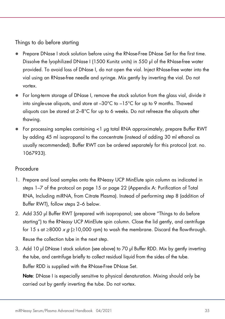Things to do before starting

- Prepare DNase I stock solution before using the RNase-Free DNase Set for the first time. Dissolve the lyophilized DNase I (1500 Kunitz units) in 550 µl of the RNase-free water provided. To avoid loss of DNase I, do not open the vial. Inject RNase-free water into the vial using an RNase-free needle and syringe. Mix gently by inverting the vial. Do not vortex.
- For long-term storage of DNase I, remove the stock solution from the glass vial, divide it into single-use aliquots, and store at –30°C to –15°C for up to 9 months. Thawed aliquots can be stored at 2–8°C for up to 6 weeks. Do not refreeze the aliquots after thawing.
- For processing samples containing <1 µg total RNA approximately, prepare Buffer RWT by adding 45 ml isopropanol to the concentrate (instead of adding 30 ml ethanol as usually recommended). Buffer RWT can be ordered separately for this protocol (cat. no. 1067933).

### Procedure

- 1. Prepare and load samples onto the RNeasy UCP MinElute spin column as indicated in steps [1](#page-14-1)[–7](#page-15-1) of the protocol on page [15](#page-14-1) or page [22](#page-21-1) [\(Appendix A: Purification of Total](#page-20-0)  [RNA, Including miRNA, from Citrate Plasma\)](#page-20-0). Instead of performing step [8](#page-15-2) (addition of Buffer RWT), follow steps [2–](#page-34-0)[6](#page-35-0) below.
- <span id="page-34-0"></span>2. Add 350 µl Buffer RWT (prepared with isopropanol; see above "Things to do before starting") to the RNeasy UCP MinElute spin column. Close the lid gently, and centrifuge for 15 s at ≥8000  $x g$  (≥10,000 rpm) to wash the membrane. Discard the flow-through. Reuse the collection tube in the next step.
- 3. Add 10 µl DNase I stock solution (see above) to 70 µl Buffer RDD. Mix by gently inverting the tube, and centrifuge briefly to collect residual liquid from the sides of the tube. Buffer RDD is supplied with the RNase-Free DNase Set.

Note: DNase I is especially sensitive to physical denaturation. Mixing should only be carried out by gently inverting the tube. Do not vortex.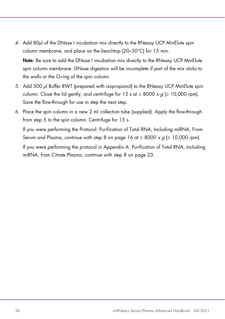4. Add 80µl of the DNase I incubation mix directly to the RNeasy UCP MinElute spin column membrane, and place on the benchtop (20–30°C) for 15 min.

Note: Be sure to add the DNase I incubation mix directly to the RNeasy UCP MinElute spin column membrane. DNase digestion will be incomplete if part of the mix sticks to the walls or the O-ring of the spin column.

- <span id="page-35-1"></span>5. Add 500 µl Buffer RWT (prepared with isopropanol) to the RNeasy UCP MinElute spin column. Close the lid gently, and centrifuge for 15 s at  $\geq 8000 \times g \geq 10,000$  rpm). Save the flow-through for use in step the next step.
- <span id="page-35-0"></span>6. Place the spin column in a new 2 ml collection tube (supplied). Apply the flow-through from step [5](#page-35-1) to the spin column. Centrifuge for 15 s.

If you were performing the [Protocol: Purification of Total RNA, Including miRNA, From](#page-13-0)  [Serum and Plasma,](#page-13-0) continue with step [8](#page-15-2) on page [16](#page-15-2) at  $\geq 8000 \times g \geq 10,000$  rpm).

If you were performing the protocol in [Appendix A: Purification of Total RNA, Including](#page-20-0)  [miRNA, from Citrate Plasma,](#page-20-0) continue with ste[p 8](#page-22-0) on page [23.](#page-22-0)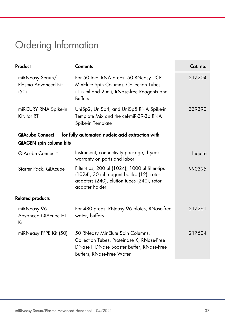# <span id="page-36-0"></span>Ordering Information

| Product                                        | <b>Contents</b>                                                                                                                                              | Cat. no. |
|------------------------------------------------|--------------------------------------------------------------------------------------------------------------------------------------------------------------|----------|
| miRNeasy Serum/<br>Plasma Advanced Kit<br>(50) | For 50 total RNA preps: 50 RNeasy UCP<br>MinElute Spin Columns, Collection Tubes<br>(1.5 ml and 2 ml), RNase-free Reagents and<br><b>Buffers</b>             | 217204   |
| miRCURY RNA Spike-In<br>Kit, for RT            | UniSp2, UniSp4, and UniSp5 RNA Spike-in<br>Template Mix and the cel-miR-39-3p RNA<br>Spike-in Template                                                       | 339390   |
|                                                | QIAcube Connect - for fully automated nucleic acid extraction with                                                                                           |          |
| <b>QIAGEN</b> spin-column kits                 |                                                                                                                                                              |          |
| QIAcube Connect*                               | Instrument, connectivity package, 1-year<br>warranty on parts and labor                                                                                      | Inquire  |
| Starter Pack, QIAcube                          | Filter-tips, 200 µl (1024), 1000 µl filter-tips<br>(1024), 30 ml reagent bottles (12), rotor<br>adapters (240), elution tubes (240), rotor<br>adapter holder | 990395   |
| <b>Related products</b>                        |                                                                                                                                                              |          |
| miRNeasy 96<br>Advanced QIAcube HT<br>Kit      | For 480 preps: RNeasy 96 plates, RNase-free<br>water, buffers                                                                                                | 217261   |
| miRNeasy FFPE Kit (50)                         | 50 RNeasy MinElute Spin Columns,<br>Collection Tubes, Proteinase K, RNase-Free<br>DNase I, DNase Booster Buffer, RNase-Free<br>Buffers, RNase-Free Water     | 217504   |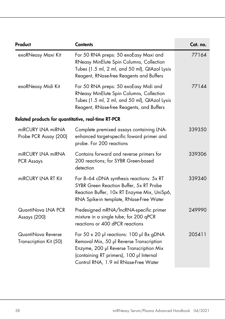| Product                                             | <b>Contents</b>                                                                                                                                                                                                           | Cat. no. |
|-----------------------------------------------------|---------------------------------------------------------------------------------------------------------------------------------------------------------------------------------------------------------------------------|----------|
| exoRNeasy Maxi Kit                                  | For 50 RNA preps: 50 exoEasy Maxi and<br>RNeasy MinElute Spin Columns, Collection<br>Tubes (1.5 ml, 2 ml, and 50 ml), QIAzol Lysis<br>Reagent, RNase-free Reagents and Buffers                                            | 77164    |
| exoRNeasy Midi Kit                                  | For 50 RNA preps: 50 exoEasy Midi and<br>RNeasy MinElute Spin Columns, Collection<br>Tubes (1.5 ml, 2 ml, and 50 ml), QIAzol Lysis<br>Reagent, RNase-free Reagents, and Buffers                                           | 77144    |
| Related products for quantitative, real-time RT-PCR |                                                                                                                                                                                                                           |          |
| miRCURY LNA miRNA<br>Probe PCR Assay (200)          | Complete premixed assays containing LNA-<br>enhanced target-specific foward primer and<br>probe. For 200 reactions                                                                                                        | 339350   |
| miRCURY LNA miRNA<br>PCR Assays                     | Contains forward and reverse primers for<br>200 reactions; for SYBR Green-based<br>detection                                                                                                                              | 339306   |
| miRCURY LNA RT Kit                                  | For 8-64 cDNA synthesis reactions: 5x RT<br>SYBR Green Reaction Buffer, 5x RT Probe<br>Reaction Buffer, 10x RT Enzyme Mix, UniSp6,<br>RNA Spike-in template, RNase-Free Water                                             | 339340   |
| QuantiNova LNA PCR<br>Assays (200)                  | Predesigned mRNA/IncRNA-specific primer<br>mixture in a single tube; for 200 qPCR<br>reactions or 400 dPCR reactions                                                                                                      | 249990   |
| QuantiNova Reverse<br>Transcription Kit (50)        | For $50 \times 20$ µ reactions: 100 µ 8x gDNA<br>Removal Mix, 50 µl Reverse Transcription<br>Enzyme, 200 µl Reverse Transcription Mix<br>(containing RT primers), 100 µl Internal<br>Control RNA, 1.9 ml RNase-Free Water | 205411   |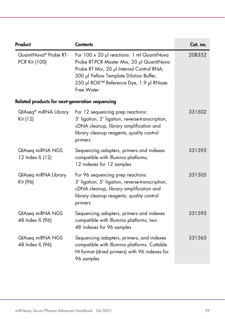| Product                                            | <b>Contents</b>                                                                                                                                                                                                                           | Cat. no. |
|----------------------------------------------------|-------------------------------------------------------------------------------------------------------------------------------------------------------------------------------------------------------------------------------------------|----------|
| QuantiNova <sup>®</sup> Probe RT-<br>PCR Kit (100) | For 100 x 20 µl reactions: 1 ml QuantiNova<br>Probe RT-PCR Master Mix, 20 µl QuantiNova<br>Probe RT Mix, 20 µl Internal Control RNA,<br>500 µl Yellow Template Dilution Buffer,<br>250 µl ROX™ Reference Dye, 1.9 µl RNase-<br>Free Water | 208352   |
| Related products for next-generation sequencing    |                                                                                                                                                                                                                                           |          |
| QIAseq <sup>®</sup> miRNA Library<br>Kit (12)      | For 12 sequencing prep reactions:<br>3' ligation, 5' ligation, reverse-transcription,<br>cDNA cleanup, library amplification and<br>library cleanup reagents; quality control<br>primers                                                  | 331502   |
| QlAseq miRNA NGS<br>12 Index IL (12)               | Sequencing adapters, primers and indexes<br>compatible with Illumina platforms;<br>12 indexes for 12 samples                                                                                                                              | 331592   |
| QlAseq miRNA Library<br>Kit (96)                   | For 96 sequencing prep reactions:<br>3' ligation, 5' ligation, reverse-transcription,<br>cDNA cleanup, library amplification and<br>library cleanup reagents; quality control<br>primers                                                  | 331505   |
| QlAseq miRNA NGS<br>48 Index IL (96)               | Sequencing adapters, primers and indexes<br>compatible with Illumina platforms; two<br>48 indexes for 96 samples                                                                                                                          | 331595   |
| QlAseq miRNA NGS<br>48 Index IL (96)               | Sequencing adapters, primers, and indexes<br>compatible with Illumina platforms. Cuttable<br>Ht format (dried primers) with 96 indexes for<br>96 samples                                                                                  | 331565   |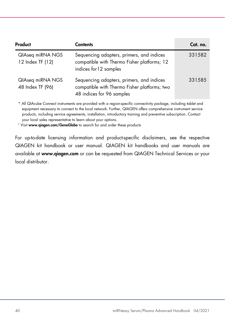| Product                              | <b>Contents</b>                                                                                                        | Cat. no. |
|--------------------------------------|------------------------------------------------------------------------------------------------------------------------|----------|
| QIAseq miRNA NGS<br>12 Index TF (12) | Sequencing adapters, primers, and indices<br>compatible with Thermo Fisher platforms; 12<br>indices for 12 samples     | 331582   |
| QIAseq miRNA NGS<br>48 Index TF (96) | Sequencing adapters, primers, and indices<br>compatible with Thermo Fisher platforms; two<br>48 indices for 96 samples | 331585   |

\* All QIAcube Connect instruments are provided with a region-specific connectivity package, including tablet and equipment necessary to connect to the local network. Further, QIAGEN offers comprehensive instrument service products, including service agreements, installation, introductory training and preventive subscription. Contact your local sales representative to learn about your options.

<sup>†</sup> Visit [www.qiagen.com/GeneGlobe](http://www.qiagen.com/GeneGlobe) to search for and order these products

For up-to-date licensing information and product-specific disclaimers, see the respective QIAGEN kit handbook or user manual. QIAGEN kit handbooks and user manuals are available at [www.qiagen.com](http://www.qiagen.com/) or can be requested from QIAGEN Technical Services or your local distributor.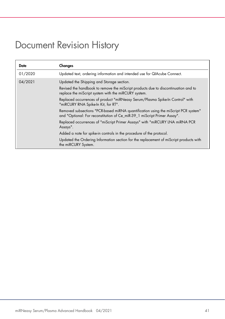### <span id="page-40-0"></span>Document Revision History

| Date    | Changes                                                                                                                                                        |
|---------|----------------------------------------------------------------------------------------------------------------------------------------------------------------|
| 01/2020 | Updated text, ordering information and intended use for QIAcube Connect.                                                                                       |
| 04/2021 | Updated the Shipping and Storage section.                                                                                                                      |
|         | Revised the handbook to remove the miScript products due to discontinuation and to<br>replace the miScript system with the miRCURY system.                     |
|         | Replaced occurrences of product "miRNeasy Serum/Plasma Spike-In Control" with<br>"miRCURY RNA Spike-In Kit, for RT".                                           |
|         | Removed subsections "PCR-based miRNA quantification using the miScript PCR system"<br>and "Optional: For reconstitution of Ce miR-39 1 miScript Primer Assay". |
|         | Replaced occurrences of "miScript Primer Assays" with "miRCURY LNA miRNA PCR<br>Assays".                                                                       |
|         | Added a note for spike-in controls in the procedure of the protocol.                                                                                           |
|         | Updated the Ordering Information section for the replacement of miScript products with<br>the miRCURY System.                                                  |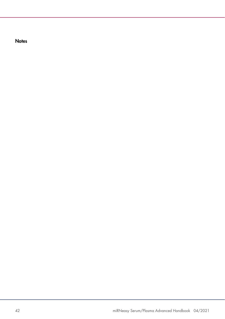**Notes**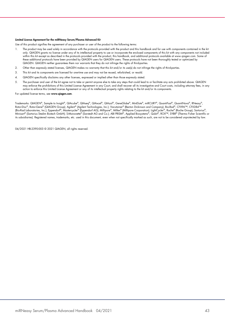#### Limited License Agreement for the miRNeasy Serum/Plasma Advanced Kit

Use of this product signifies the agreement of any purchaser or user of the product to the following terms:

- I. The product may be used solely in accordance with the protocols provided with the product and this handbook and tor use with components contained in the kit (n) he kit (n) only. QIAGEN grants no license under any of its within this kit except as described in the protocols provided with the product, this handbook, and additional protocols available at www.qiagen.com. Some of these additional protocols have been provided by QIAGEN users for QIAGEN users. These protocols have not been thoroughly tested or optimized by QIAGEN. QIAGEN neither guarantees them nor warrants that they do not infringe the rights of third-parties.
- 2. Other than expressly stated licenses, QIAGEN makes no warranty that this kit and/or its use(s) do not infringe the rights of third-parties.
- 3. This kit and its components are licensed for one-time use and may not be reused, refurbished, or resold.
- 4. QIAGEN specifically disclaims any other licenses, expressed or implied other than those expressly stated.
- 5. The purchaser and user of the kit agree not to take or permit anyone else to take any steps that could lead to or facilitate any acts prohibited above. QIAGEN may enforce the prohibitions of this Limited License Agreement in any Court, and shall recover all its investigative and Court costs, including attorney fees, in any action to enforce this Limited License Agreement or any of its intellectual property rights relating to the kit and/or its components.

#### For updated license terms, see [www.qiagen.com](http://www.qiagen.com/).

Trademarks: QIAGEN®, Sample to Insight®, QIAcube®, QIAseq®, QIAxcel®, QIAzol®, GeneGlobe®, MinElute®, miRCURY®, QuantiFast®, QuantiNova®, RNeasy®, Rotor-Disc®, Rotor-Gene® (QIAGEN Group); Agilent® (Agilent Technologies, Inc.); Vacutainer® (Becton Dickinson and Company); Bio-Rad®, CFX96™, CFX384™ (Bio-Rad Laboratories, Inc.); Eppendorf®, Mastercycler® (Eppendorf AG); Millipore®, Millex® (Millipore Corporation); LightCycler®, Roche® (Roche Group); Sartorius®, Minisart® (Sartorius Stedim Biotech GmbH); S-Monovette® (Sarstedt AG and Co.); ABI PRISM®, Applied Biosystems®, Qubit®, ROX™, SYBR® (Thermo Fisher Scientific or its subsidiaries). Registered names, trademarks, etc. used in this document, even when not specifically marked as such, are not to be considered unprotected by law.

04/2021 HB-2390-003 © 2021 QIAGEN, all rights reserved.